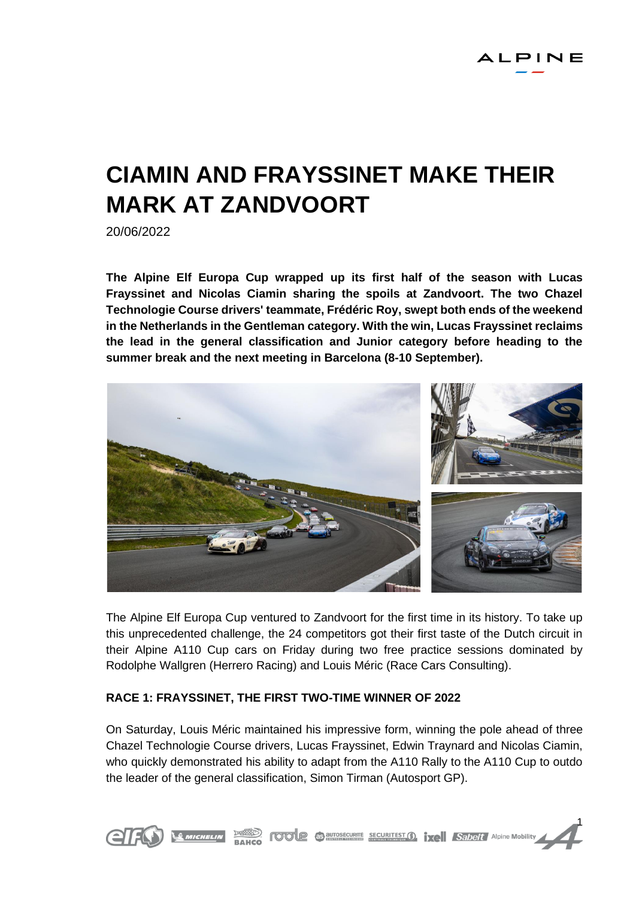# **CIAMIN AND FRAYSSINET MAKE THEIR MARK AT ZANDVOORT**

20/06/2022

**The Alpine Elf Europa Cup wrapped up its first half of the season with Lucas Frayssinet and Nicolas Ciamin sharing the spoils at Zandvoort. The two Chazel Technologie Course drivers' teammate, Frédéric Roy, swept both ends of the weekend in the Netherlands in the Gentleman category. With the win, Lucas Frayssinet reclaims the lead in the general classification and Junior category before heading to the summer break and the next meeting in Barcelona (8-10 September).**



The Alpine Elf Europa Cup ventured to Zandvoort for the first time in its history. To take up this unprecedented challenge, the 24 competitors got their first taste of the Dutch circuit in their Alpine A110 Cup cars on Friday during two free practice sessions dominated by Rodolphe Wallgren (Herrero Racing) and Louis Méric (Race Cars Consulting).

# **RACE 1: FRAYSSINET, THE FIRST TWO-TIME WINNER OF 2022**

On Saturday, Louis Méric maintained his impressive form, winning the pole ahead of three Chazel Technologie Course drivers, Lucas Frayssinet, Edwin Traynard and Nicolas Ciamin, who quickly demonstrated his ability to adapt from the A110 Rally to the A110 Cup to outdo the leader of the general classification, Simon Tirman (Autosport GP).

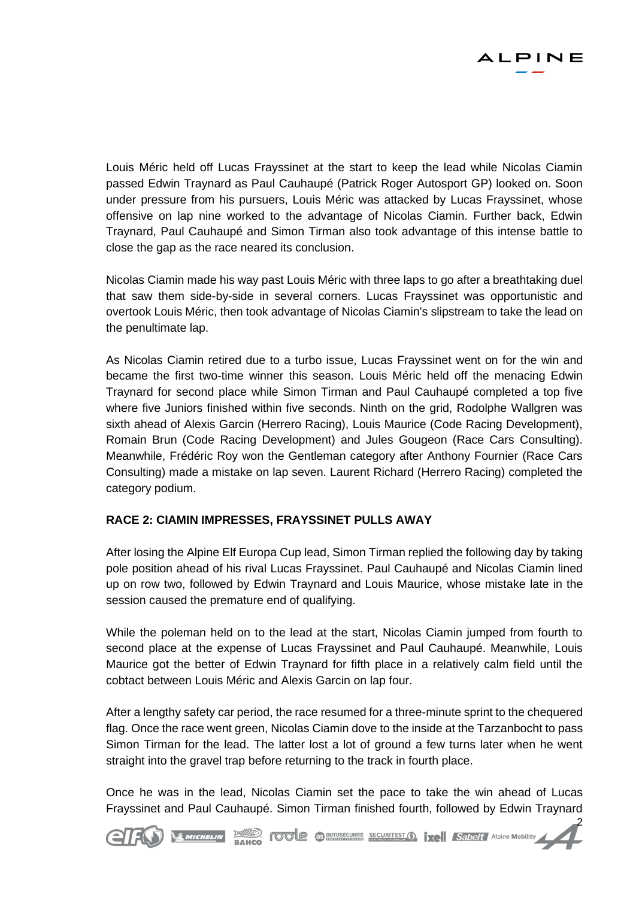

2

Louis Méric held off Lucas Frayssinet at the start to keep the lead while Nicolas Ciamin passed Edwin Traynard as Paul Cauhaupé (Patrick Roger Autosport GP) looked on. Soon under pressure from his pursuers, Louis Méric was attacked by Lucas Frayssinet, whose offensive on lap nine worked to the advantage of Nicolas Ciamin. Further back, Edwin Traynard, Paul Cauhaupé and Simon Tirman also took advantage of this intense battle to close the gap as the race neared its conclusion.

Nicolas Ciamin made his way past Louis Méric with three laps to go after a breathtaking duel that saw them side-by-side in several corners. Lucas Frayssinet was opportunistic and overtook Louis Méric, then took advantage of Nicolas Ciamin's slipstream to take the lead on the penultimate lap.

As Nicolas Ciamin retired due to a turbo issue, Lucas Frayssinet went on for the win and became the first two-time winner this season. Louis Méric held off the menacing Edwin Traynard for second place while Simon Tirman and Paul Cauhaupé completed a top five where five Juniors finished within five seconds. Ninth on the grid, Rodolphe Wallgren was sixth ahead of Alexis Garcin (Herrero Racing), Louis Maurice (Code Racing Development), Romain Brun (Code Racing Development) and Jules Gougeon (Race Cars Consulting). Meanwhile, Frédéric Roy won the Gentleman category after Anthony Fournier (Race Cars Consulting) made a mistake on lap seven. Laurent Richard (Herrero Racing) completed the category podium.

# **RACE 2: CIAMIN IMPRESSES, FRAYSSINET PULLS AWAY**

After losing the Alpine Elf Europa Cup lead, Simon Tirman replied the following day by taking pole position ahead of his rival Lucas Frayssinet. Paul Cauhaupé and Nicolas Ciamin lined up on row two, followed by Edwin Traynard and Louis Maurice, whose mistake late in the session caused the premature end of qualifying.

While the poleman held on to the lead at the start, Nicolas Ciamin jumped from fourth to second place at the expense of Lucas Frayssinet and Paul Cauhaupé. Meanwhile, Louis Maurice got the better of Edwin Traynard for fifth place in a relatively calm field until the cobtact between Louis Méric and Alexis Garcin on lap four.

After a lengthy safety car period, the race resumed for a three-minute sprint to the chequered flag. Once the race went green, Nicolas Ciamin dove to the inside at the Tarzanbocht to pass Simon Tirman for the lead. The latter lost a lot of ground a few turns later when he went straight into the gravel trap before returning to the track in fourth place.

Once he was in the lead, Nicolas Ciamin set the pace to take the win ahead of Lucas Frayssinet and Paul Cauhaupé. Simon Tirman finished fourth, followed by Edwin Traynard

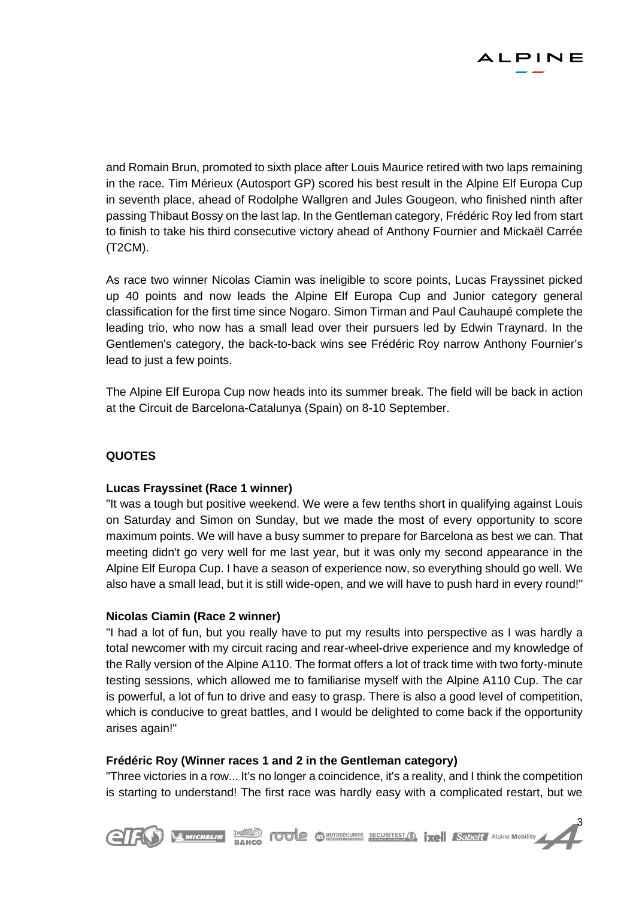

and Romain Brun, promoted to sixth place after Louis Maurice retired with two laps remaining in the race. Tim Mérieux (Autosport GP) scored his best result in the Alpine Elf Europa Cup in seventh place, ahead of Rodolphe Wallgren and Jules Gougeon, who finished ninth after passing Thibaut Bossy on the last lap. In the Gentleman category, Frédéric Roy led from start to finish to take his third consecutive victory ahead of Anthony Fournier and Mickaël Carrée (T2CM).

As race two winner Nicolas Ciamin was ineligible to score points, Lucas Frayssinet picked up 40 points and now leads the Alpine Elf Europa Cup and Junior category general classification for the first time since Nogaro. Simon Tirman and Paul Cauhaupé complete the leading trio, who now has a small lead over their pursuers led by Edwin Traynard. In the Gentlemen's category, the back-to-back wins see Frédéric Roy narrow Anthony Fournier's lead to just a few points.

The Alpine Elf Europa Cup now heads into its summer break. The field will be back in action at the Circuit de Barcelona-Catalunya (Spain) on 8-10 September.

# **QUOTES**

# **Lucas Frayssinet (Race 1 winner)**

"It was a tough but positive weekend. We were a few tenths short in qualifying against Louis on Saturday and Simon on Sunday, but we made the most of every opportunity to score maximum points. We will have a busy summer to prepare for Barcelona as best we can. That meeting didn't go very well for me last year, but it was only my second appearance in the Alpine Elf Europa Cup. I have a season of experience now, so everything should go well. We also have a small lead, but it is still wide-open, and we will have to push hard in every round!"

# **Nicolas Ciamin (Race 2 winner)**

"I had a lot of fun, but you really have to put my results into perspective as I was hardly a total newcomer with my circuit racing and rear-wheel-drive experience and my knowledge of the Rally version of the Alpine A110. The format offers a lot of track time with two forty-minute testing sessions, which allowed me to familiarise myself with the Alpine A110 Cup. The car is powerful, a lot of fun to drive and easy to grasp. There is also a good level of competition, which is conducive to great battles, and I would be delighted to come back if the opportunity arises again!"

# **Frédéric Roy (Winner races 1 and 2 in the Gentleman category)**

"Three victories in a row... It's no longer a coincidence, it's a reality, and I think the competition is starting to understand! The first race was hardly easy with a complicated restart, but we

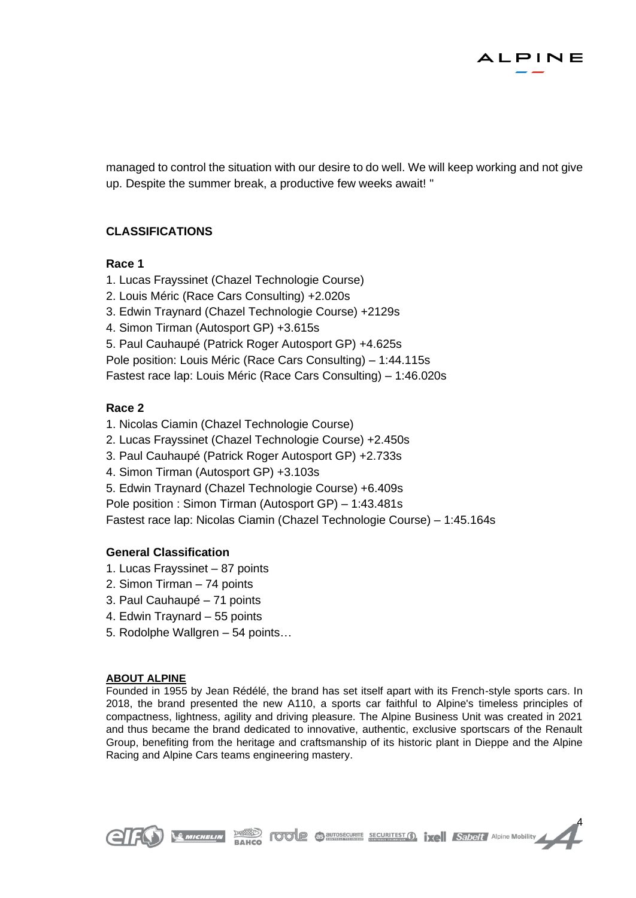

managed to control the situation with our desire to do well. We will keep working and not give up. Despite the summer break, a productive few weeks await! "

# **CLASSIFICATIONS**

#### **Race 1**

- 1. Lucas Frayssinet (Chazel Technologie Course)
- 2. Louis Méric (Race Cars Consulting) +2.020s
- 3. Edwin Traynard (Chazel Technologie Course) +2129s
- 4. Simon Tirman (Autosport GP) +3.615s
- 5. Paul Cauhaupé (Patrick Roger Autosport GP) +4.625s

Pole position: Louis Méric (Race Cars Consulting) – 1:44.115s

Fastest race lap: Louis Méric (Race Cars Consulting) – 1:46.020s

# **Race 2**

- 1. Nicolas Ciamin (Chazel Technologie Course)
- 2. Lucas Frayssinet (Chazel Technologie Course) +2.450s
- 3. Paul Cauhaupé (Patrick Roger Autosport GP) +2.733s
- 4. Simon Tirman (Autosport GP) +3.103s
- 5. Edwin Traynard (Chazel Technologie Course) +6.409s

Pole position : Simon Tirman (Autosport GP) – 1:43.481s

Fastest race lap: Nicolas Ciamin (Chazel Technologie Course) – 1:45.164s

# **General Classification**

- 1. Lucas Frayssinet 87 points
- 2. Simon Tirman 74 points
- 3. Paul Cauhaupé 71 points
- 4. Edwin Traynard 55 points
- 5. Rodolphe Wallgren 54 points…

#### **ABOUT ALPINE**

Founded in 1955 by Jean Rédélé, the brand has set itself apart with its French-style sports cars. In 2018, the brand presented the new A110, a sports car faithful to Alpine's timeless principles of compactness, lightness, agility and driving pleasure. The Alpine Business Unit was created in 2021 and thus became the brand dedicated to innovative, authentic, exclusive sportscars of the Renault Group, benefiting from the heritage and craftsmanship of its historic plant in Dieppe and the Alpine Racing and Alpine Cars teams engineering mastery.

**BAHCO FOTOLE CONTESTION TXEL Sabelt** Alpine Mobility